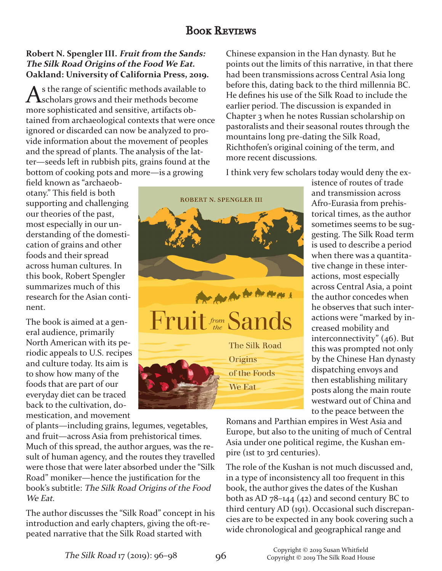## **BOOK REVIEWS**

## **Robert N. Spengler III. Fruit from the Sands: The Silk Road Origins of the Food We Eat. Oakland: University of California Press, 2019.**

s the range of scientific methods available to scholars grows and their methods become more sophisticated and sensitive, artifacts obtained from archaeological contexts that were once ignored or discarded can now be analyzed to provide information about the movement of peoples and the spread of plants. The analysis of the latter—seeds left in rubbish pits, grains found at the bottom of cooking pots and more—is a growing

field known as "archaeobotany." This field is both supporting and challenging our theories of the past, most especially in our understanding of the domestication of grains and other foods and their spread across human cultures. In this book, Robert Spengler summarizes much of this research for the Asian continent.

The book is aimed at a general audience, primarily North American with its periodic appeals to U.S. recipes and culture today. Its aim is to show how many of the foods that are part of our everyday diet can be traced back to the cultivation, domestication, and movement

of plants—including grains, legumes, vegetables, and fruit—across Asia from prehistorical times. Much of this spread, the author argues, was the result of human agency, and the routes they travelled were those that were later absorbed under the "Silk Road" moniker—hence the justification for the book's subtitle: The Silk Road Origins of the Food We Eat.

The author discusses the "Silk Road" concept in his introduction and early chapters, giving the oft-repeated narrative that the Silk Road started with

Chinese expansion in the Han dynasty. But he points out the limits of this narrative, in that there had been transmissions across Central Asia long before this, dating back to the third millennia BC. He defines his use of the Silk Road to include the earlier period. The discussion is expanded in Chapter 3 when he notes Russian scholarship on pastoralists and their seasonal routes through the mountains long pre-dating the Silk Road, Richthofen's original coining of the term, and more recent discussions.

I think very few scholars today would deny the ex-

ROBERT N. SPENGLER III



We Eat.

istence of routes of trade and transmission across Afro-Eurasia from prehistorical times, as the author sometimes seems to be suggesting. The Silk Road term is used to describe a period when there was a quantitative change in these interactions, most especially across Central Asia, a point the author concedes when he observes that such interactions were "marked by increased mobility and interconnectivity" (46). But this was prompted not only by the Chinese Han dynasty dispatching envoys and then establishing military posts along the main route westward out of China and to the peace between the

Romans and Parthian empires in West Asia and Europe, but also to the uniting of much of Central Asia under one political regime, the Kushan empire (1st to 3rd centuries).

The role of the Kushan is not much discussed and, in a type of inconsistency all too frequent in this book, the author gives the dates of the Kushan both as AD 78–144 (42) and second century BC to third century AD (191). Occasional such discrepancies are to be expected in any book covering such a wide chronological and geographical range and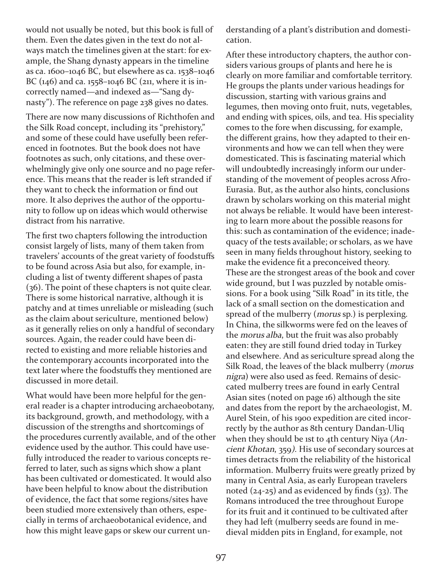would not usually be noted, but this book is full of them. Even the dates given in the text do not always match the timelines given at the start: for example, the Shang dynasty appears in the timeline as ca. 1600–1046 BC, but elsewhere as ca. 1538–1046 BC (146) and ca. 1558–1046 BC (211, where it is incorrectly named—and indexed as—"Sang dynasty"). The reference on page 238 gives no dates.

There are now many discussions of Richthofen and the Silk Road concept, including its "prehistory," and some of these could have usefully been referenced in footnotes. But the book does not have footnotes as such, only citations, and these overwhelmingly give only one source and no page reference. This means that the reader is left stranded if they want to check the information or find out more. It also deprives the author of the opportunity to follow up on ideas which would otherwise distract from his narrative.

The first two chapters following the introduction consist largely of lists, many of them taken from travelers' accounts of the great variety of foodstuffs to be found across Asia but also, for example, including a list of twenty different shapes of pasta (36). The point of these chapters is not quite clear. There is some historical narrative, although it is patchy and at times unreliable or misleading (such as the claim about sericulture, mentioned below) as it generally relies on only a handful of secondary sources. Again, the reader could have been directed to existing and more reliable histories and the contemporary accounts incorporated into the text later where the foodstuffs they mentioned are discussed in more detail.

What would have been more helpful for the general reader is a chapter introducing archaeobotany, its background, growth, and methodology, with a discussion of the strengths and shortcomings of the procedures currently available, and of the other evidence used by the author. This could have usefully introduced the reader to various concepts referred to later, such as signs which show a plant has been cultivated or domesticated. It would also have been helpful to know about the distribution of evidence, the fact that some regions/sites have been studied more extensively than others, especially in terms of archaeobotanical evidence, and how this might leave gaps or skew our current understanding of a plant's distribution and domestication.

After these introductory chapters, the author considers various groups of plants and here he is clearly on more familiar and comfortable territory. He groups the plants under various headings for discussion, starting with various grains and legumes, then moving onto fruit, nuts, vegetables, and ending with spices, oils, and tea. His speciality comes to the fore when discussing, for example, the different grains, how they adapted to their environments and how we can tell when they were domesticated. This is fascinating material which will undoubtedly increasingly inform our understanding of the movement of peoples across Afro-Eurasia. But, as the author also hints, conclusions drawn by scholars working on this material might not always be reliable. It would have been interesting to learn more about the possible reasons for this: such as contamination of the evidence; inadequacy of the tests available; or scholars, as we have seen in many fields throughout history, seeking to make the evidence fit a preconceived theory. These are the strongest areas of the book and cover wide ground, but I was puzzled by notable omissions. For a book using "Silk Road" in its title, the lack of a small section on the domestication and spread of the mulberry (*morus* sp.) is perplexing. In China, the silkworms were fed on the leaves of the morus alba, but the fruit was also probably eaten: they are still found dried today in Turkey and elsewhere. And as sericulture spread along the Silk Road, the leaves of the black mulberry (morus nigra) were also used as feed. Remains of desiccated mulberry trees are found in early Central Asian sites (noted on page 16) although the site and dates from the report by the archaeologist, M. Aurel Stein, of his 1900 expedition are cited incorrectly by the author as 8th century Dandan-Uliq when they should be 1st to 4th century Niya  $(An$ cient Khotan, 359). His use of secondary sources at times detracts from the reliability of the historical information. Mulberry fruits were greatly prized by many in Central Asia, as early European travelers noted  $(24-25)$  and as evidenced by finds  $(33)$ . The Romans introduced the tree throughout Europe for its fruit and it continued to be cultivated after they had left (mulberry seeds are found in medieval midden pits in England, for example, not